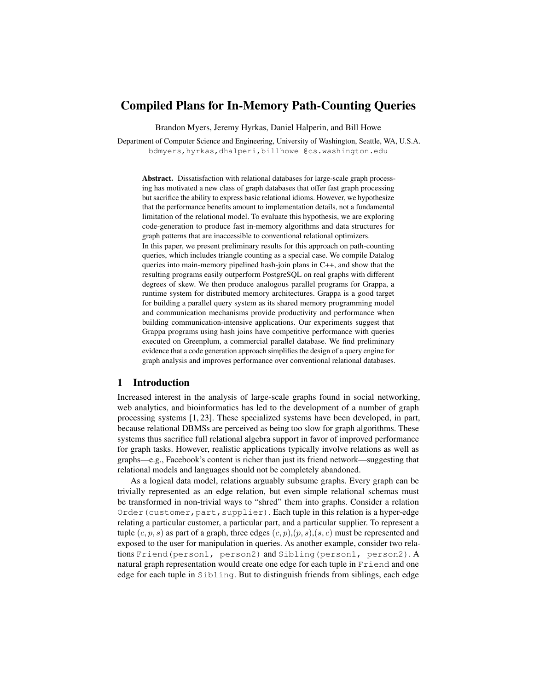# Compiled Plans for In-Memory Path-Counting Queries

Brandon Myers, Jeremy Hyrkas, Daniel Halperin, and Bill Howe

Department of Computer Science and Engineering, University of Washington, Seattle, WA, U.S.A. bdmyers,hyrkas,dhalperi,billhowe @cs.washington.edu

Abstract. Dissatisfaction with relational databases for large-scale graph processing has motivated a new class of graph databases that offer fast graph processing but sacrifice the ability to express basic relational idioms. However, we hypothesize that the performance benefits amount to implementation details, not a fundamental limitation of the relational model. To evaluate this hypothesis, we are exploring code-generation to produce fast in-memory algorithms and data structures for graph patterns that are inaccessible to conventional relational optimizers. In this paper, we present preliminary results for this approach on path-counting queries, which includes triangle counting as a special case. We compile Datalog queries into main-memory pipelined hash-join plans in C++, and show that the resulting programs easily outperform PostgreSQL on real graphs with different degrees of skew. We then produce analogous parallel programs for Grappa, a runtime system for distributed memory architectures. Grappa is a good target for building a parallel query system as its shared memory programming model and communication mechanisms provide productivity and performance when building communication-intensive applications. Our experiments suggest that Grappa programs using hash joins have competitive performance with queries executed on Greenplum, a commercial parallel database. We find preliminary evidence that a code generation approach simplifies the design of a query engine for graph analysis and improves performance over conventional relational databases.

# 1 Introduction

Increased interest in the analysis of large-scale graphs found in social networking, web analytics, and bioinformatics has led to the development of a number of graph processing systems [1, 23]. These specialized systems have been developed, in part, because relational DBMSs are perceived as being too slow for graph algorithms. These systems thus sacrifice full relational algebra support in favor of improved performance for graph tasks. However, realistic applications typically involve relations as well as graphs—e.g., Facebook's content is richer than just its friend network—suggesting that relational models and languages should not be completely abandoned.

As a logical data model, relations arguably subsume graphs. Every graph can be trivially represented as an edge relation, but even simple relational schemas must be transformed in non-trivial ways to "shred" them into graphs. Consider a relation Order (customer, part, supplier). Each tuple in this relation is a hyper-edge relating a particular customer, a particular part, and a particular supplier. To represent a tuple  $(c, p, s)$  as part of a graph, three edges  $(c, p), (p, s), (s, c)$  must be represented and exposed to the user for manipulation in queries. As another example, consider two relations Friend(person1, person2) and Sibling(person1, person2). A natural graph representation would create one edge for each tuple in Friend and one edge for each tuple in Sibling. But to distinguish friends from siblings, each edge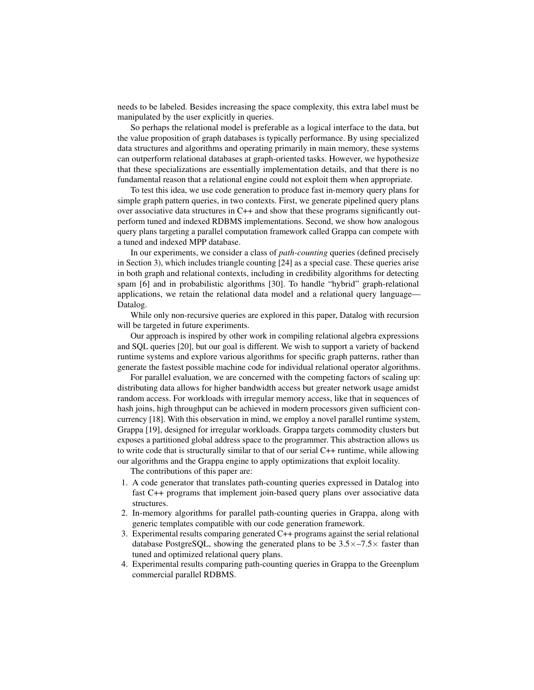needs to be labeled. Besides increasing the space complexity, this extra label must be manipulated by the user explicitly in queries.

So perhaps the relational model is preferable as a logical interface to the data, but the value proposition of graph databases is typically performance. By using specialized data structures and algorithms and operating primarily in main memory, these systems can outperform relational databases at graph-oriented tasks. However, we hypothesize that these specializations are essentially implementation details, and that there is no fundamental reason that a relational engine could not exploit them when appropriate.

To test this idea, we use code generation to produce fast in-memory query plans for simple graph pattern queries, in two contexts. First, we generate pipelined query plans over associative data structures in C++ and show that these programs significantly outperform tuned and indexed RDBMS implementations. Second, we show how analogous query plans targeting a parallel computation framework called Grappa can compete with a tuned and indexed MPP database.

In our experiments, we consider a class of *path-counting* queries (defined precisely in Section 3), which includes triangle counting [24] as a special case. These queries arise in both graph and relational contexts, including in credibility algorithms for detecting spam [6] and in probabilistic algorithms [30]. To handle "hybrid" graph-relational applications, we retain the relational data model and a relational query language— Datalog.

While only non-recursive queries are explored in this paper, Datalog with recursion will be targeted in future experiments.

Our approach is inspired by other work in compiling relational algebra expressions and SQL queries [20], but our goal is different. We wish to support a variety of backend runtime systems and explore various algorithms for specific graph patterns, rather than generate the fastest possible machine code for individual relational operator algorithms.

For parallel evaluation, we are concerned with the competing factors of scaling up: distributing data allows for higher bandwidth access but greater network usage amidst random access. For workloads with irregular memory access, like that in sequences of hash joins, high throughput can be achieved in modern processors given sufficient concurrency [18]. With this observation in mind, we employ a novel parallel runtime system, Grappa [19], designed for irregular workloads. Grappa targets commodity clusters but exposes a partitioned global address space to the programmer. This abstraction allows us to write code that is structurally similar to that of our serial C++ runtime, while allowing our algorithms and the Grappa engine to apply optimizations that exploit locality.

The contributions of this paper are:

- 1. A code generator that translates path-counting queries expressed in Datalog into fast C++ programs that implement join-based query plans over associative data structures.
- 2. In-memory algorithms for parallel path-counting queries in Grappa, along with generic templates compatible with our code generation framework.
- 3. Experimental results comparing generated C++ programs against the serial relational database PostgreSQL, showing the generated plans to be  $3.5 \times -7.5 \times$  faster than tuned and optimized relational query plans.
- 4. Experimental results comparing path-counting queries in Grappa to the Greenplum commercial parallel RDBMS.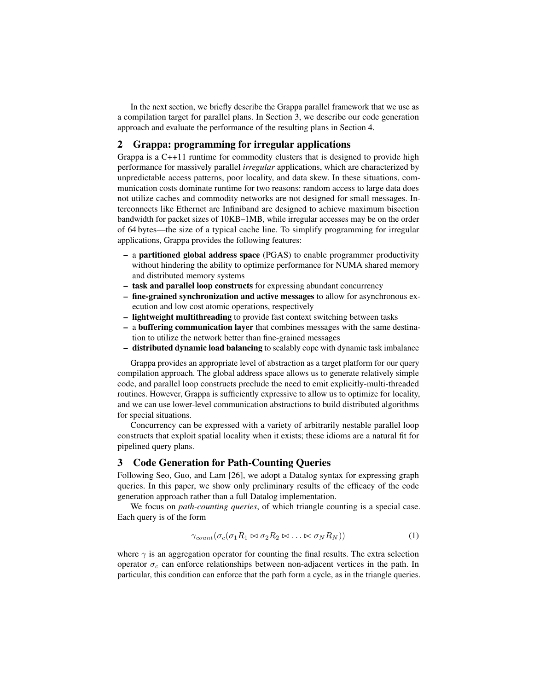In the next section, we briefly describe the Grappa parallel framework that we use as a compilation target for parallel plans. In Section 3, we describe our code generation approach and evaluate the performance of the resulting plans in Section 4.

# 2 Grappa: programming for irregular applications

Grappa is a  $C_{+11}$  runtime for commodity clusters that is designed to provide high performance for massively parallel *irregular* applications, which are characterized by unpredictable access patterns, poor locality, and data skew. In these situations, communication costs dominate runtime for two reasons: random access to large data does not utilize caches and commodity networks are not designed for small messages. Interconnects like Ethernet are Infiniband are designed to achieve maximum bisection bandwidth for packet sizes of 10KB–1MB, while irregular accesses may be on the order of 64 bytes—the size of a typical cache line. To simplify programming for irregular applications, Grappa provides the following features:

- a partitioned global address space (PGAS) to enable programmer productivity without hindering the ability to optimize performance for NUMA shared memory and distributed memory systems
- task and parallel loop constructs for expressing abundant concurrency
- fine-grained synchronization and active messages to allow for asynchronous execution and low cost atomic operations, respectively
- lightweight multithreading to provide fast context switching between tasks
- a buffering communication layer that combines messages with the same destination to utilize the network better than fine-grained messages
- distributed dynamic load balancing to scalably cope with dynamic task imbalance

Grappa provides an appropriate level of abstraction as a target platform for our query compilation approach. The global address space allows us to generate relatively simple code, and parallel loop constructs preclude the need to emit explicitly-multi-threaded routines. However, Grappa is sufficiently expressive to allow us to optimize for locality, and we can use lower-level communication abstractions to build distributed algorithms for special situations.

Concurrency can be expressed with a variety of arbitrarily nestable parallel loop constructs that exploit spatial locality when it exists; these idioms are a natural fit for pipelined query plans.

## 3 Code Generation for Path-Counting Queries

Following Seo, Guo, and Lam [26], we adopt a Datalog syntax for expressing graph queries. In this paper, we show only preliminary results of the efficacy of the code generation approach rather than a full Datalog implementation.

We focus on *path-counting queries*, of which triangle counting is a special case. Each query is of the form

$$
\gamma_{count}(\sigma_c(\sigma_1 R_1 \bowtie \sigma_2 R_2 \bowtie \ldots \bowtie \sigma_N R_N))
$$
\n(1)

where  $\gamma$  is an aggregation operator for counting the final results. The extra selection operator  $\sigma_c$  can enforce relationships between non-adjacent vertices in the path. In particular, this condition can enforce that the path form a cycle, as in the triangle queries.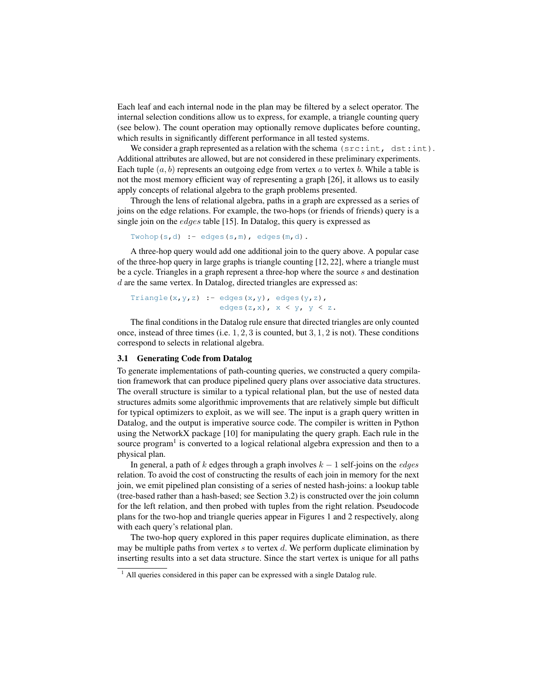Each leaf and each internal node in the plan may be filtered by a select operator. The internal selection conditions allow us to express, for example, a triangle counting query (see below). The count operation may optionally remove duplicates before counting, which results in significantly different performance in all tested systems.

We consider a graph represented as a relation with the schema ( $src:int$ , dst:int). Additional attributes are allowed, but are not considered in these preliminary experiments. Each tuple  $(a, b)$  represents an outgoing edge from vertex a to vertex b. While a table is not the most memory efficient way of representing a graph [26], it allows us to easily apply concepts of relational algebra to the graph problems presented.

Through the lens of relational algebra, paths in a graph are expressed as a series of joins on the edge relations. For example, the two-hops (or friends of friends) query is a single join on the *edges* table [15]. In Datalog, this query is expressed as

Twohop(s,d)  $:=$  edges(s,m), edges(m,d).

A three-hop query would add one additional join to the query above. A popular case of the three-hop query in large graphs is triangle counting [12, 22], where a triangle must be a cycle. Triangles in a graph represent a three-hop where the source s and destination  $d$  are the same vertex. In Datalog, directed triangles are expressed as:

```
Triangle(x, y, z) : - edges(x, y), edges(y, z),
                  edges(z, x), x < y, y < z.
```
The final conditions in the Datalog rule ensure that directed triangles are only counted once, instead of three times (i.e. 1, 2, 3 is counted, but 3, 1, 2 is not). These conditions correspond to selects in relational algebra.

#### 3.1 Generating Code from Datalog

To generate implementations of path-counting queries, we constructed a query compilation framework that can produce pipelined query plans over associative data structures. The overall structure is similar to a typical relational plan, but the use of nested data structures admits some algorithmic improvements that are relatively simple but difficult for typical optimizers to exploit, as we will see. The input is a graph query written in Datalog, and the output is imperative source code. The compiler is written in Python using the NetworkX package [10] for manipulating the query graph. Each rule in the source program<sup>1</sup> is converted to a logical relational algebra expression and then to a physical plan.

In general, a path of k edges through a graph involves  $k - 1$  self-joins on the *edges* relation. To avoid the cost of constructing the results of each join in memory for the next join, we emit pipelined plan consisting of a series of nested hash-joins: a lookup table (tree-based rather than a hash-based; see Section 3.2) is constructed over the join column for the left relation, and then probed with tuples from the right relation. Pseudocode plans for the two-hop and triangle queries appear in Figures 1 and 2 respectively, along with each query's relational plan.

The two-hop query explored in this paper requires duplicate elimination, as there may be multiple paths from vertex  $s$  to vertex  $d$ . We perform duplicate elimination by inserting results into a set data structure. Since the start vertex is unique for all paths

 $<sup>1</sup>$  All queries considered in this paper can be expressed with a single Datalog rule.</sup>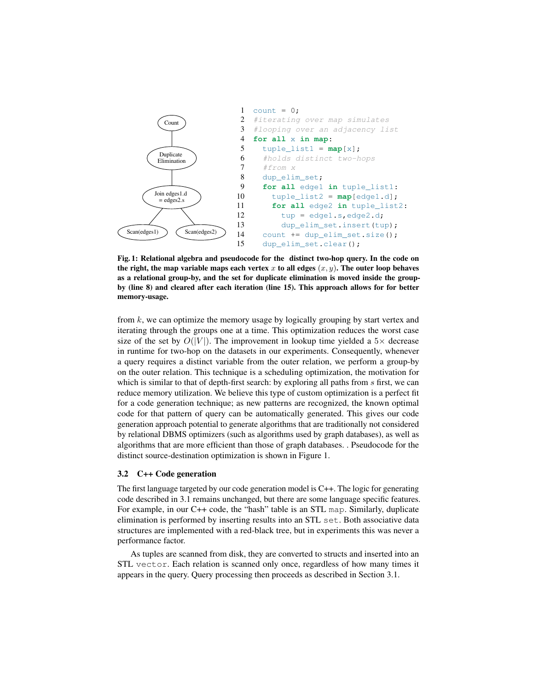

Fig. 1: Relational algebra and pseudocode for the distinct two-hop query. In the code on the right, the map variable maps each vertex x to all edges  $(x, y)$ . The outer loop behaves as a relational group-by, and the set for duplicate elimination is moved inside the groupby (line 8) and cleared after each iteration (line 15). This approach allows for for better memory-usage.

from  $k$ , we can optimize the memory usage by logically grouping by start vertex and iterating through the groups one at a time. This optimization reduces the worst case size of the set by  $O(|V|)$ . The improvement in lookup time yielded a  $5\times$  decrease in runtime for two-hop on the datasets in our experiments. Consequently, whenever a query requires a distinct variable from the outer relation, we perform a group-by on the outer relation. This technique is a scheduling optimization, the motivation for which is similar to that of depth-first search: by exploring all paths from  $s$  first, we can reduce memory utilization. We believe this type of custom optimization is a perfect fit for a code generation technique; as new patterns are recognized, the known optimal code for that pattern of query can be automatically generated. This gives our code generation approach potential to generate algorithms that are traditionally not considered by relational DBMS optimizers (such as algorithms used by graph databases), as well as algorithms that are more efficient than those of graph databases. . Pseudocode for the distinct source-destination optimization is shown in Figure 1.

#### 3.2 C++ Code generation

The first language targeted by our code generation model is C++. The logic for generating code described in 3.1 remains unchanged, but there are some language specific features. For example, in our C++ code, the "hash" table is an STL map. Similarly, duplicate elimination is performed by inserting results into an STL set. Both associative data structures are implemented with a red-black tree, but in experiments this was never a performance factor.

As tuples are scanned from disk, they are converted to structs and inserted into an STL vector. Each relation is scanned only once, regardless of how many times it appears in the query. Query processing then proceeds as described in Section 3.1.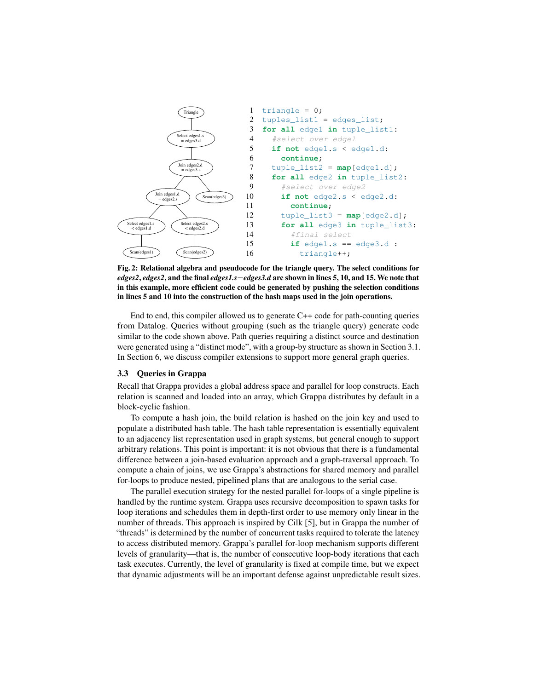

Fig. 2: Relational algebra and pseudocode for the triangle query. The select conditions for *edges2*, *edges2*, and the final *edges1.s*=*edges3.d* are shown in lines 5, 10, and 15. We note that in this example, more efficient code could be generated by pushing the selection conditions in lines 5 and 10 into the construction of the hash maps used in the join operations.

End to end, this compiler allowed us to generate C++ code for path-counting queries from Datalog. Queries without grouping (such as the triangle query) generate code similar to the code shown above. Path queries requiring a distinct source and destination were generated using a "distinct mode", with a group-by structure as shown in Section 3.1. In Section 6, we discuss compiler extensions to support more general graph queries.

#### 3.3 Queries in Grappa

Recall that Grappa provides a global address space and parallel for loop constructs. Each relation is scanned and loaded into an array, which Grappa distributes by default in a block-cyclic fashion.

To compute a hash join, the build relation is hashed on the join key and used to populate a distributed hash table. The hash table representation is essentially equivalent to an adjacency list representation used in graph systems, but general enough to support arbitrary relations. This point is important: it is not obvious that there is a fundamental difference between a join-based evaluation approach and a graph-traversal approach. To compute a chain of joins, we use Grappa's abstractions for shared memory and parallel for-loops to produce nested, pipelined plans that are analogous to the serial case.

The parallel execution strategy for the nested parallel for-loops of a single pipeline is handled by the runtime system. Grappa uses recursive decomposition to spawn tasks for loop iterations and schedules them in depth-first order to use memory only linear in the number of threads. This approach is inspired by Cilk [5], but in Grappa the number of "threads" is determined by the number of concurrent tasks required to tolerate the latency to access distributed memory. Grappa's parallel for-loop mechanism supports different levels of granularity—that is, the number of consecutive loop-body iterations that each task executes. Currently, the level of granularity is fixed at compile time, but we expect that dynamic adjustments will be an important defense against unpredictable result sizes.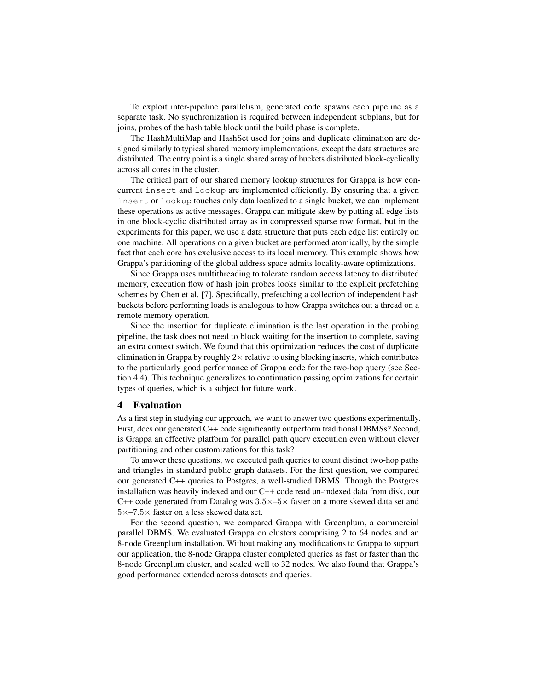To exploit inter-pipeline parallelism, generated code spawns each pipeline as a separate task. No synchronization is required between independent subplans, but for joins, probes of the hash table block until the build phase is complete.

The HashMultiMap and HashSet used for joins and duplicate elimination are designed similarly to typical shared memory implementations, except the data structures are distributed. The entry point is a single shared array of buckets distributed block-cyclically across all cores in the cluster.

The critical part of our shared memory lookup structures for Grappa is how concurrent insert and lookup are implemented efficiently. By ensuring that a given insert or lookup touches only data localized to a single bucket, we can implement these operations as active messages. Grappa can mitigate skew by putting all edge lists in one block-cyclic distributed array as in compressed sparse row format, but in the experiments for this paper, we use a data structure that puts each edge list entirely on one machine. All operations on a given bucket are performed atomically, by the simple fact that each core has exclusive access to its local memory. This example shows how Grappa's partitioning of the global address space admits locality-aware optimizations.

Since Grappa uses multithreading to tolerate random access latency to distributed memory, execution flow of hash join probes looks similar to the explicit prefetching schemes by Chen et al. [7]. Specifically, prefetching a collection of independent hash buckets before performing loads is analogous to how Grappa switches out a thread on a remote memory operation.

Since the insertion for duplicate elimination is the last operation in the probing pipeline, the task does not need to block waiting for the insertion to complete, saving an extra context switch. We found that this optimization reduces the cost of duplicate elimination in Grappa by roughly  $2 \times$  relative to using blocking inserts, which contributes to the particularly good performance of Grappa code for the two-hop query (see Section 4.4). This technique generalizes to continuation passing optimizations for certain types of queries, which is a subject for future work.

#### 4 Evaluation

As a first step in studying our approach, we want to answer two questions experimentally. First, does our generated C++ code significantly outperform traditional DBMSs? Second, is Grappa an effective platform for parallel path query execution even without clever partitioning and other customizations for this task?

To answer these questions, we executed path queries to count distinct two-hop paths and triangles in standard public graph datasets. For the first question, we compared our generated C++ queries to Postgres, a well-studied DBMS. Though the Postgres installation was heavily indexed and our C++ code read un-indexed data from disk, our C++ code generated from Datalog was  $3.5 \times -5 \times$  faster on a more skewed data set and  $5\times$ –7.5 $\times$  faster on a less skewed data set.

For the second question, we compared Grappa with Greenplum, a commercial parallel DBMS. We evaluated Grappa on clusters comprising 2 to 64 nodes and an 8-node Greenplum installation. Without making any modifications to Grappa to support our application, the 8-node Grappa cluster completed queries as fast or faster than the 8-node Greenplum cluster, and scaled well to 32 nodes. We also found that Grappa's good performance extended across datasets and queries.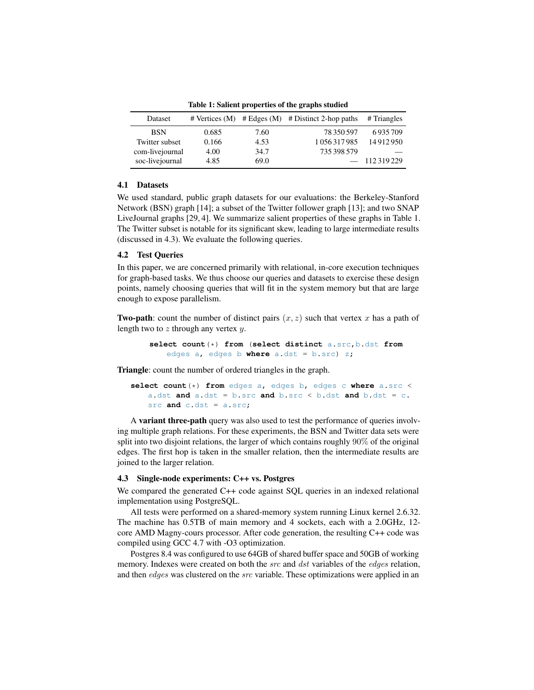| Dataset         |       |      | # Vertices (M) $\#$ Edges (M) $\#$ Distinct 2-hop paths | # Triangles  |
|-----------------|-------|------|---------------------------------------------------------|--------------|
| <b>BSN</b>      | 0.685 | 7.60 | 78 350 597                                              | 6935709      |
| Twitter subset  | 0.166 | 4.53 | 1056317985                                              | 14912950     |
| com-livejournal | 4.00  | 34.7 | 735 398 579                                             |              |
| soc-livejournal | 4.85  | 69.0 |                                                         | $-112319229$ |
|                 |       |      |                                                         |              |

Table 1: Salient properties of the graphs studied

#### 4.1 Datasets

We used standard, public graph datasets for our evaluations: the Berkeley-Stanford Network (BSN) graph [14]; a subset of the Twitter follower graph [13]; and two SNAP LiveJournal graphs [29, 4]. We summarize salient properties of these graphs in Table 1. The Twitter subset is notable for its significant skew, leading to large intermediate results (discussed in 4.3). We evaluate the following queries.

#### 4.2 Test Queries

In this paper, we are concerned primarily with relational, in-core execution techniques for graph-based tasks. We thus choose our queries and datasets to exercise these design points, namely choosing queries that will fit in the system memory but that are large enough to expose parallelism.

**Two-path:** count the number of distinct pairs  $(x, z)$  such that vertex x has a path of length two to  $z$  through any vertex  $y$ .

> **select count**(\*) **from** (**select distinct** a.src,b.dst **from** edges a, edges b **where** a.dst = b.src) z;

Triangle: count the number of ordered triangles in the graph.

```
select count(*) from edges a, edges b, edges c where a.src <
a.dst and a.dst = b.src and b.src < b.dst and b.dst = c.
src and c.dst = a.src;
```
A variant three-path query was also used to test the performance of queries involving multiple graph relations. For these experiments, the BSN and Twitter data sets were split into two disjoint relations, the larger of which contains roughly 90% of the original edges. The first hop is taken in the smaller relation, then the intermediate results are joined to the larger relation.

#### 4.3 Single-node experiments: C++ vs. Postgres

We compared the generated C++ code against SOL queries in an indexed relational implementation using PostgreSQL.

All tests were performed on a shared-memory system running Linux kernel 2.6.32. The machine has 0.5TB of main memory and 4 sockets, each with a 2.0GHz, 12 core AMD Magny-cours processor. After code generation, the resulting C++ code was compiled using GCC 4.7 with -O3 optimization.

Postgres 8.4 was configured to use 64GB of shared buffer space and 50GB of working memory. Indexes were created on both the src and dst variables of the edges relation, and then edges was clustered on the src variable. These optimizations were applied in an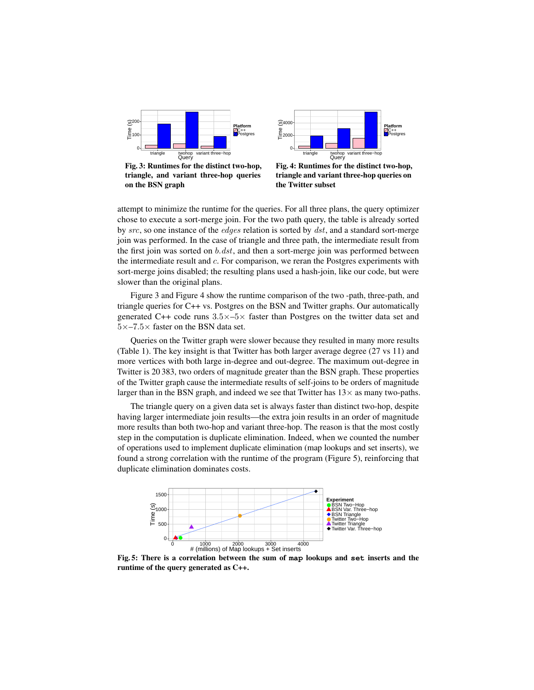

Fig. 3: Runtimes for the distinct two-hop, triangle, and variant three-hop queries on the BSN graph



Fig. 4: Runtimes for the distinct two-hop, triangle and variant three-hop queries on the Twitter subset

attempt to minimize the runtime for the queries. For all three plans, the query optimizer chose to execute a sort-merge join. For the two path query, the table is already sorted by  $src$ , so one instance of the *edges* relation is sorted by  $dst$ , and a standard sort-merge join was performed. In the case of triangle and three path, the intermediate result from the first join was sorted on  $b. \, dst$ , and then a sort-merge join was performed between the intermediate result and c. For comparison, we reran the Postgres experiments with sort-merge joins disabled; the resulting plans used a hash-join, like our code, but were slower than the original plans.

Figure 3 and Figure 4 show the runtime comparison of the two -path, three-path, and triangle queries for C++ vs. Postgres on the BSN and Twitter graphs. Our automatically generated C++ code runs  $3.5 \times -5 \times$  faster than Postgres on the twitter data set and  $5\times$ –7.5 $\times$  faster on the BSN data set.

Queries on the Twitter graph were slower because they resulted in many more results (Table 1). The key insight is that Twitter has both larger average degree (27 vs 11) and more vertices with both large in-degree and out-degree. The maximum out-degree in Twitter is 20 383, two orders of magnitude greater than the BSN graph. These properties of the Twitter graph cause the intermediate results of self-joins to be orders of magnitude larger than in the BSN graph, and indeed we see that Twitter has  $13\times$  as many two-paths.

The triangle query on a given data set is always faster than distinct two-hop, despite having larger intermediate join results—the extra join results in an order of magnitude more results than both two-hop and variant three-hop. The reason is that the most costly step in the computation is duplicate elimination. Indeed, when we counted the number of operations used to implement duplicate elimination (map lookups and set inserts), we found a strong correlation with the runtime of the program (Figure 5), reinforcing that duplicate elimination dominates costs.



Fig. 5: There is a correlation between the sum of **map** lookups and **set** inserts and the runtime of the query generated as C++.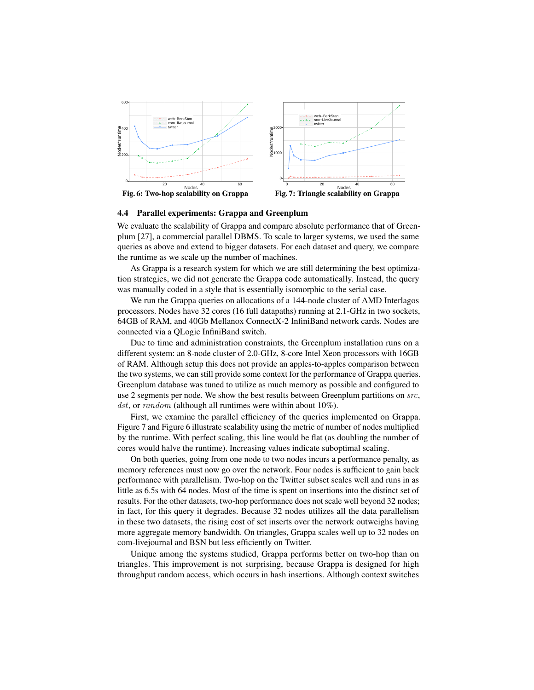

#### 4.4 Parallel experiments: Grappa and Greenplum

We evaluate the scalability of Grappa and compare absolute performance that of Greenplum [27], a commercial parallel DBMS. To scale to larger systems, we used the same queries as above and extend to bigger datasets. For each dataset and query, we compare the runtime as we scale up the number of machines.

As Grappa is a research system for which we are still determining the best optimization strategies, we did not generate the Grappa code automatically. Instead, the query was manually coded in a style that is essentially isomorphic to the serial case.

We run the Grappa queries on allocations of a 144-node cluster of AMD Interlagos processors. Nodes have 32 cores (16 full datapaths) running at 2.1-GHz in two sockets, 64GB of RAM, and 40Gb Mellanox ConnectX-2 InfiniBand network cards. Nodes are connected via a QLogic InfiniBand switch.

Due to time and administration constraints, the Greenplum installation runs on a different system: an 8-node cluster of 2.0-GHz, 8-core Intel Xeon processors with 16GB of RAM. Although setup this does not provide an apples-to-apples comparison between the two systems, we can still provide some context for the performance of Grappa queries. Greenplum database was tuned to utilize as much memory as possible and configured to use 2 segments per node. We show the best results between Greenplum partitions on *src*,  $dst$ , or  $random$  (although all runtimes were within about 10%).

First, we examine the parallel efficiency of the queries implemented on Grappa. Figure 7 and Figure 6 illustrate scalability using the metric of number of nodes multiplied by the runtime. With perfect scaling, this line would be flat (as doubling the number of cores would halve the runtime). Increasing values indicate suboptimal scaling.

On both queries, going from one node to two nodes incurs a performance penalty, as memory references must now go over the network. Four nodes is sufficient to gain back performance with parallelism. Two-hop on the Twitter subset scales well and runs in as little as 6.5s with 64 nodes. Most of the time is spent on insertions into the distinct set of results. For the other datasets, two-hop performance does not scale well beyond 32 nodes; in fact, for this query it degrades. Because 32 nodes utilizes all the data parallelism in these two datasets, the rising cost of set inserts over the network outweighs having more aggregate memory bandwidth. On triangles, Grappa scales well up to 32 nodes on com-livejournal and BSN but less efficiently on Twitter.

Unique among the systems studied, Grappa performs better on two-hop than on triangles. This improvement is not surprising, because Grappa is designed for high throughput random access, which occurs in hash insertions. Although context switches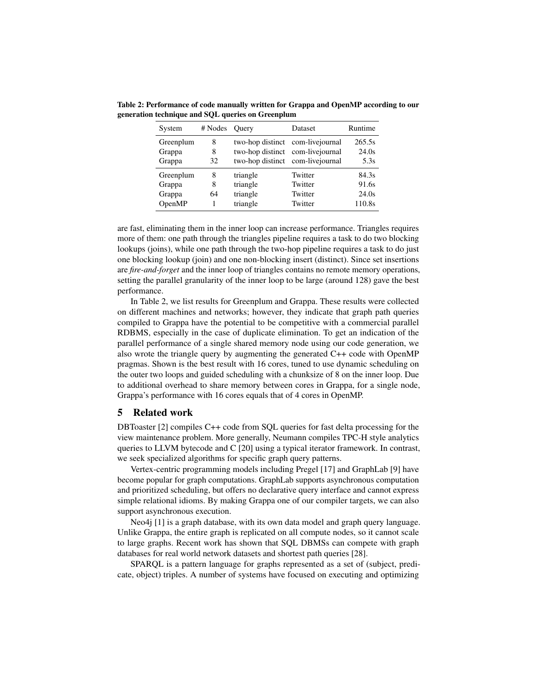| System                                  | # Nodes      | Ouerv                                                                                                    | Dataset                                  | Runtime                           |
|-----------------------------------------|--------------|----------------------------------------------------------------------------------------------------------|------------------------------------------|-----------------------------------|
| Greenplum<br>Grappa<br>Grappa           | 8<br>8<br>32 | two-hop distinct com-livejournal<br>two-hop distinct com-livejournal<br>two-hop distinct com-livejournal |                                          | 265.5s<br>24.0s<br>5.3s           |
| Greenplum<br>Grappa<br>Grappa<br>OpenMP | 8<br>8<br>64 | triangle<br>triangle<br>triangle<br>triangle                                                             | Twitter<br>Twitter<br>Twitter<br>Twitter | 84.3s<br>91.6s<br>24.0s<br>110.8s |

Table 2: Performance of code manually written for Grappa and OpenMP according to our generation technique and SQL queries on Greenplum

are fast, eliminating them in the inner loop can increase performance. Triangles requires more of them: one path through the triangles pipeline requires a task to do two blocking lookups (joins), while one path through the two-hop pipeline requires a task to do just one blocking lookup (join) and one non-blocking insert (distinct). Since set insertions are *fire-and-forget* and the inner loop of triangles contains no remote memory operations, setting the parallel granularity of the inner loop to be large (around 128) gave the best performance.

In Table 2, we list results for Greenplum and Grappa. These results were collected on different machines and networks; however, they indicate that graph path queries compiled to Grappa have the potential to be competitive with a commercial parallel RDBMS, especially in the case of duplicate elimination. To get an indication of the parallel performance of a single shared memory node using our code generation, we also wrote the triangle query by augmenting the generated C++ code with OpenMP pragmas. Shown is the best result with 16 cores, tuned to use dynamic scheduling on the outer two loops and guided scheduling with a chunksize of 8 on the inner loop. Due to additional overhead to share memory between cores in Grappa, for a single node, Grappa's performance with 16 cores equals that of 4 cores in OpenMP.

# 5 Related work

DBToaster [2] compiles C++ code from SQL queries for fast delta processing for the view maintenance problem. More generally, Neumann compiles TPC-H style analytics queries to LLVM bytecode and C [20] using a typical iterator framework. In contrast, we seek specialized algorithms for specific graph query patterns.

Vertex-centric programming models including Pregel [17] and GraphLab [9] have become popular for graph computations. GraphLab supports asynchronous computation and prioritized scheduling, but offers no declarative query interface and cannot express simple relational idioms. By making Grappa one of our compiler targets, we can also support asynchronous execution.

Neo4j [1] is a graph database, with its own data model and graph query language. Unlike Grappa, the entire graph is replicated on all compute nodes, so it cannot scale to large graphs. Recent work has shown that SQL DBMSs can compete with graph databases for real world network datasets and shortest path queries [28].

SPARQL is a pattern language for graphs represented as a set of (subject, predicate, object) triples. A number of systems have focused on executing and optimizing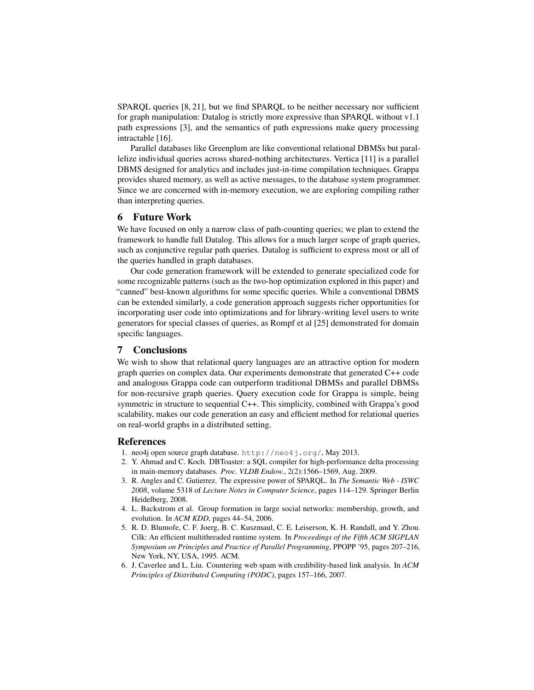SPARQL queries [8, 21], but we find SPARQL to be neither necessary nor sufficient for graph manipulation: Datalog is strictly more expressive than SPARQL without v1.1 path expressions [3], and the semantics of path expressions make query processing intractable [16].

Parallel databases like Greenplum are like conventional relational DBMSs but parallelize individual queries across shared-nothing architectures. Vertica [11] is a parallel DBMS designed for analytics and includes just-in-time compilation techniques. Grappa provides shared memory, as well as active messages, to the database system programmer. Since we are concerned with in-memory execution, we are exploring compiling rather than interpreting queries.

## 6 Future Work

We have focused on only a narrow class of path-counting queries; we plan to extend the framework to handle full Datalog. This allows for a much larger scope of graph queries, such as conjunctive regular path queries. Datalog is sufficient to express most or all of the queries handled in graph databases.

Our code generation framework will be extended to generate specialized code for some recognizable patterns (such as the two-hop optimization explored in this paper) and "canned" best-known algorithms for some specific queries. While a conventional DBMS can be extended similarly, a code generation approach suggests richer opportunities for incorporating user code into optimizations and for library-writing level users to write generators for special classes of queries, as Rompf et al [25] demonstrated for domain specific languages.

### 7 Conclusions

We wish to show that relational query languages are an attractive option for modern graph queries on complex data. Our experiments demonstrate that generated C++ code and analogous Grappa code can outperform traditional DBMSs and parallel DBMSs for non-recursive graph queries. Query execution code for Grappa is simple, being symmetric in structure to sequential C++. This simplicity, combined with Grappa's good scalability, makes our code generation an easy and efficient method for relational queries on real-world graphs in a distributed setting.

## References

- 1. neo4j open source graph database. http://neo4j.org/, May 2013.
- 2. Y. Ahmad and C. Koch. DBToaster: a SQL compiler for high-performance delta processing in main-memory databases. *Proc. VLDB Endow.*, 2(2):1566–1569, Aug. 2009.
- 3. R. Angles and C. Gutierrez. The expressive power of SPARQL. In *The Semantic Web ISWC 2008*, volume 5318 of *Lecture Notes in Computer Science*, pages 114–129. Springer Berlin Heidelberg, 2008.
- 4. L. Backstrom et al. Group formation in large social networks: membership, growth, and evolution. In *ACM KDD*, pages 44–54, 2006.
- 5. R. D. Blumofe, C. F. Joerg, B. C. Kuszmaul, C. E. Leiserson, K. H. Randall, and Y. Zhou. Cilk: An efficient multithreaded runtime system. In *Proceedings of the Fifth ACM SIGPLAN Symposium on Principles and Practice of Parallel Programming*, PPOPP '95, pages 207–216, New York, NY, USA, 1995. ACM.
- 6. J. Caverlee and L. Liu. Countering web spam with credibility-based link analysis. In *ACM Principles of Distributed Computing (PODC)*, pages 157–166, 2007.